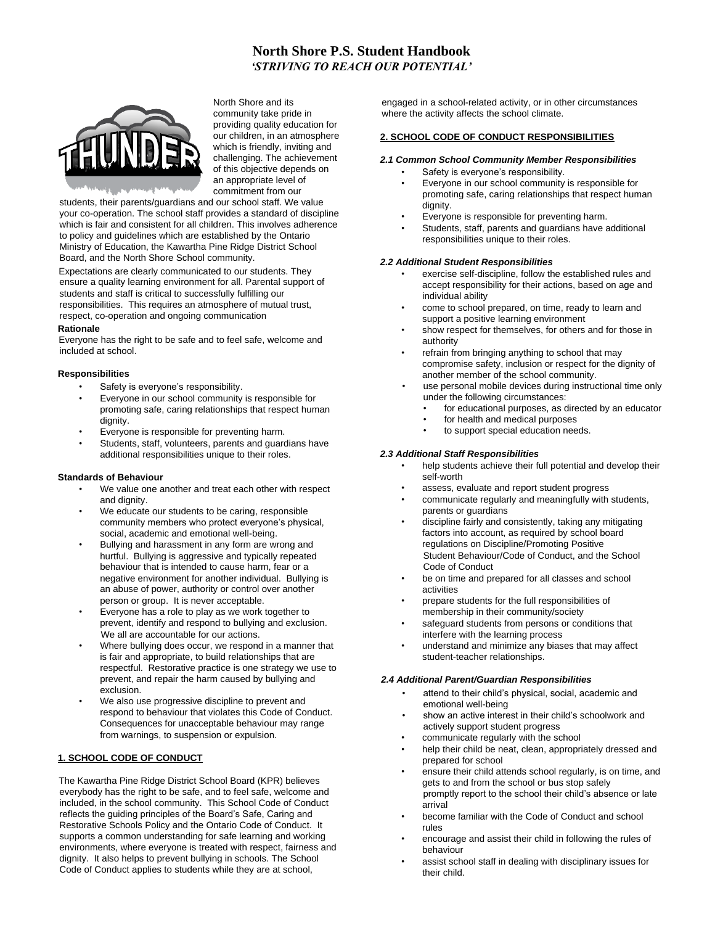# **North Shore P.S. Student Handbook** *'STRIVING TO REACH OUR POTENTIAL'*



North Shore and its community take pride in providing quality education for our children, in an atmosphere which is friendly, inviting and challenging. The achievement of this objective depends on an appropriate level of commitment from our

students, their parents/guardians and our school staff. We value your co-operation. The school staff provides a standard of discipline which is fair and consistent for all children. This involves adherence to policy and guidelines which are established by the Ontario Ministry of Education, the Kawartha Pine Ridge District School Board, and the North Shore School community.

Expectations are clearly communicated to our students. They ensure a quality learning environment for all. Parental support of students and staff is critical to successfully fulfilling our responsibilities. This requires an atmosphere of mutual trust, respect, co-operation and ongoing communication

#### **Rationale**

Everyone has the right to be safe and to feel safe, welcome and included at school.

## **Responsibilities**

- Safety is everyone's responsibility.
- Everyone in our school community is responsible for promoting safe, caring relationships that respect human dignity.
- Everyone is responsible for preventing harm.
- Students, staff, volunteers, parents and guardians have additional responsibilities unique to their roles.

#### **Standards of Behaviour**

- We value one another and treat each other with respect and dignity.
- We educate our students to be caring, responsible community members who protect everyone's physical, social, academic and emotional well-being.
- Bullying and harassment in any form are wrong and hurtful. Bullying is aggressive and typically repeated behaviour that is intended to cause harm, fear or a negative environment for another individual. Bullying is an abuse of power, authority or control over another person or group. It is never acceptable.
- Everyone has a role to play as we work together to prevent, identify and respond to bullying and exclusion. We all are accountable for our actions.
- Where bullying does occur, we respond in a manner that is fair and appropriate, to build relationships that are respectful. Restorative practice is one strategy we use to prevent, and repair the harm caused by bullying and exclusion.
- We also use progressive discipline to prevent and respond to behaviour that violates this Code of Conduct. Consequences for unacceptable behaviour may range from warnings, to suspension or expulsion.

# **1. SCHOOL CODE OF CONDUCT**

The Kawartha Pine Ridge District School Board (KPR) believes everybody has the right to be safe, and to feel safe, welcome and included, in the school community. This School Code of Conduct reflects the guiding principles of the Board's Safe, Caring and Restorative Schools Policy and the Ontario Code of Conduct. It supports a common understanding for safe learning and working environments, where everyone is treated with respect, fairness and dignity. It also helps to prevent bullying in schools. The School Code of Conduct applies to students while they are at school,

engaged in a school-related activity, or in other circumstances where the activity affects the school climate.

#### **2. SCHOOL CODE OF CONDUCT RESPONSIBILITIES**

#### *2.1 Common School Community Member Responsibilities*

- Safety is everyone's responsibility.
- Everyone in our school community is responsible for promoting safe, caring relationships that respect human dignity.
- Everyone is responsible for preventing harm.
- Students, staff, parents and quardians have additional responsibilities unique to their roles.

#### *2.2 Additional Student Responsibilities*

- exercise self-discipline, follow the established rules and accept responsibility for their actions, based on age and individual ability
- come to school prepared, on time, ready to learn and support a positive learning environment
- show respect for themselves, for others and for those in authority
- refrain from bringing anything to school that may compromise safety, inclusion or respect for the dignity of another member of the school community.
	- use personal mobile devices during instructional time only under the following circumstances:
		- for educational purposes, as directed by an educator
		- for health and medical purposes
		- to support special education needs.

#### *2.3 Additional Staff Responsibilities*

- help students achieve their full potential and develop their self-worth
- assess, evaluate and report student progress
- communicate regularly and meaningfully with students, parents or guardians
- discipline fairly and consistently, taking any mitigating factors into account, as required by school board regulations on Discipline/Promoting Positive Student Behaviour/Code of Conduct, and the School Code of Conduct
- be on time and prepared for all classes and school activities
- prepare students for the full responsibilities of membership in their community/society
- safequard students from persons or conditions that interfere with the learning process
- understand and minimize any biases that may affect student-teacher relationships.

#### *2.4 Additional Parent/Guardian Responsibilities*

- attend to their child's physical, social, academic and emotional well-being
- show an active interest in their child's schoolwork and actively support student progress
- communicate regularly with the school
- help their child be neat, clean, appropriately dressed and prepared for school
- ensure their child attends school regularly, is on time, and gets to and from the school or bus stop safely promptly report to the school their child's absence or late arrival
- become familiar with the Code of Conduct and school rules
- encourage and assist their child in following the rules of behaviour
- assist school staff in dealing with disciplinary issues for their child.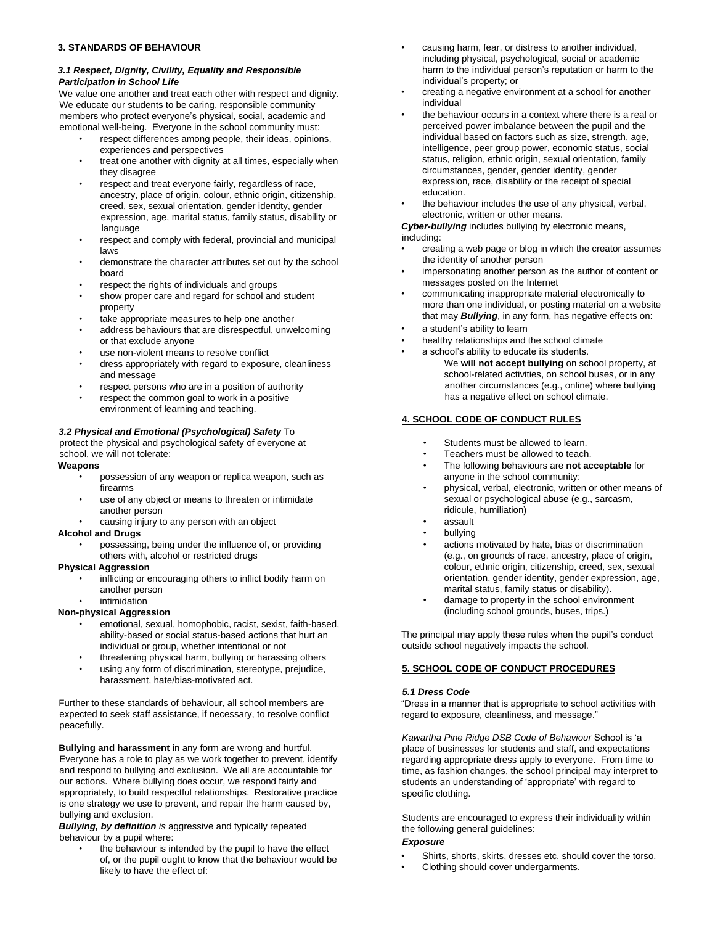## **3. STANDARDS OF BEHAVIOUR**

# *3.1 Respect, Dignity, Civility, Equality and Responsible Participation in School Life*

We value one another and treat each other with respect and dignity. We educate our students to be caring, responsible community members who protect everyone's physical, social, academic and emotional well-being. Everyone in the school community must:

- respect differences among people, their ideas, opinions, experiences and perspectives
- treat one another with dignity at all times, especially when they disagree
- respect and treat everyone fairly, regardless of race, ancestry, place of origin, colour, ethnic origin, citizenship, creed, sex, sexual orientation, gender identity, gender expression, age, marital status, family status, disability or language
- respect and comply with federal, provincial and municipal laws
- demonstrate the character attributes set out by the school board
- respect the rights of individuals and groups
- show proper care and regard for school and student property
- take appropriate measures to help one another
- address behaviours that are disrespectful, unwelcoming or that exclude anyone
- use non-violent means to resolve conflict
- dress appropriately with regard to exposure, cleanliness and message
- respect persons who are in a position of authority
- respect the common goal to work in a positive environment of learning and teaching.

# *3.2 Physical and Emotional (Psychological) Safety* To

protect the physical and psychological safety of everyone at school, we will not tolerate:

#### **Weapons**

- possession of any weapon or replica weapon, such as firearms
- use of any object or means to threaten or intimidate another person
- causing injury to any person with an object

#### **Alcohol and Drugs**

• possessing, being under the influence of, or providing others with, alcohol or restricted drugs

## **Physical Aggression**

inflicting or encouraging others to inflict bodily harm on another person

# **intimidation**

# **Non-physical Aggression**

- emotional, sexual, homophobic, racist, sexist, faith-based, ability-based or social status-based actions that hurt an individual or group, whether intentional or not
- threatening physical harm, bullying or harassing others
- using any form of discrimination, stereotype, prejudice, harassment, hate/bias-motivated act.

Further to these standards of behaviour, all school members are expected to seek staff assistance, if necessary, to resolve conflict peacefully.

**Bullying and harassment** in any form are wrong and hurtful. Everyone has a role to play as we work together to prevent, identify and respond to bullying and exclusion. We all are accountable for our actions. Where bullying does occur, we respond fairly and appropriately, to build respectful relationships. Restorative practice is one strategy we use to prevent, and repair the harm caused by, bullying and exclusion.

*Bullying, by definition is* aggressive and typically repeated behaviour by a pupil where:

the behaviour is intended by the pupil to have the effect of, or the pupil ought to know that the behaviour would be likely to have the effect of:

- causing harm, fear, or distress to another individual, including physical, psychological, social or academic harm to the individual person's reputation or harm to the individual's property; or
- creating a negative environment at a school for another individual
- the behaviour occurs in a context where there is a real or perceived power imbalance between the pupil and the individual based on factors such as size, strength, age, intelligence, peer group power, economic status, social status, religion, ethnic origin, sexual orientation, family circumstances, gender, gender identity, gender expression, race, disability or the receipt of special education.
- the behaviour includes the use of any physical, verbal, electronic, written or other means.

*Cyber-bullying* includes bullying by electronic means, including:

- creating a web page or blog in which the creator assumes the identity of another person
- impersonating another person as the author of content or messages posted on the Internet
- communicating inappropriate material electronically to more than one individual, or posting material on a website that may *Bullying*, in any form, has negative effects on:
- a student's ability to learn
- healthy relationships and the school climate
	- a school's ability to educate its students. We **will not accept bullying** on school property, at school-related activities, on school buses, or in any another circumstances (e.g., online) where bullying has a negative effect on school climate.

# **4. SCHOOL CODE OF CONDUCT RULES**

- Students must be allowed to learn.
- Teachers must be allowed to teach.
- The following behaviours are **not acceptable** for anyone in the school community:
- physical, verbal, electronic, written or other means of sexual or psychological abuse (e.g., sarcasm, ridicule, humiliation)
- assault
- bullying
- actions motivated by hate, bias or discrimination (e.g., on grounds of race, ancestry, place of origin, colour, ethnic origin, citizenship, creed, sex, sexual orientation, gender identity, gender expression, age, marital status, family status or disability).
- damage to property in the school environment (including school grounds, buses, trips.)

The principal may apply these rules when the pupil's conduct outside school negatively impacts the school.

# **5. SCHOOL CODE OF CONDUCT PROCEDURES**

# *5.1 Dress Code*

"Dress in a manner that is appropriate to school activities with regard to exposure, cleanliness, and message."

*Kawartha Pine Ridge DSB Code of Behaviour* School is 'a place of businesses for students and staff, and expectations regarding appropriate dress apply to everyone. From time to time, as fashion changes, the school principal may interpret to students an understanding of 'appropriate' with regard to specific clothing.

 Students are encouraged to express their individuality within the following general guidelines:

## *Exposure*

- Shirts, shorts, skirts, dresses etc. should cover the torso.
- Clothing should cover undergarments.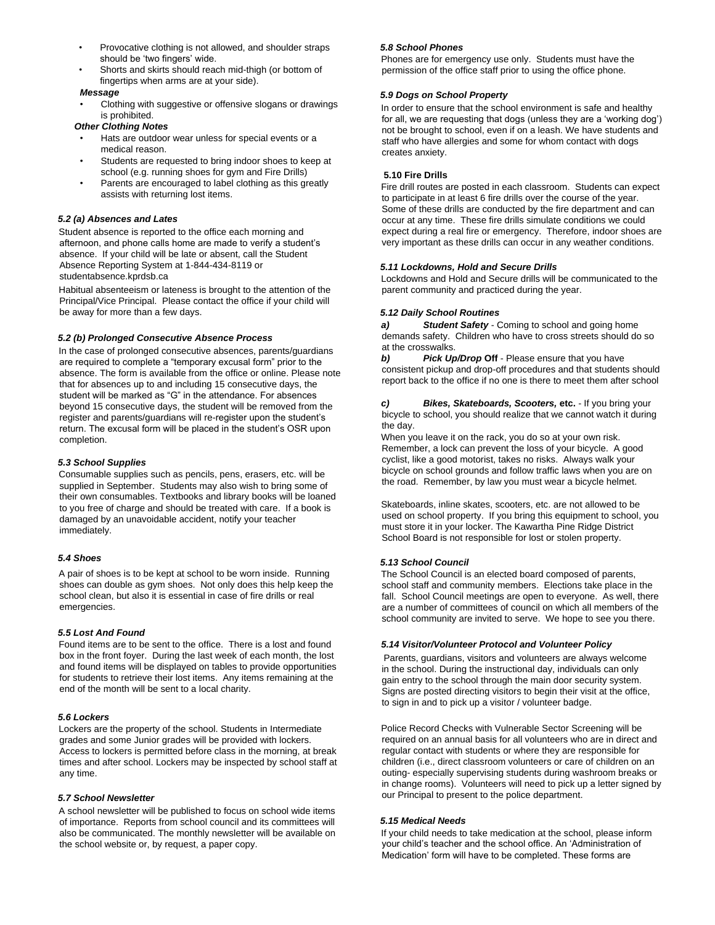- Provocative clothing is not allowed, and shoulder straps should be 'two fingers' wide.
- Shorts and skirts should reach mid-thigh (or bottom of fingertips when arms are at your side).

#### *Message*

• Clothing with suggestive or offensive slogans or drawings is prohibited.

# *Other Clothing Notes*

- Hats are outdoor wear unless for special events or a medical reason.
- Students are requested to bring indoor shoes to keep at school (e.g. running shoes for gym and Fire Drills)
- Parents are encouraged to label clothing as this greatly assists with returning lost items.

## *5.2 (a) Absences and Lates*

Student absence is reported to the office each morning and afternoon, and phone calls home are made to verify a student's absence. If your child will be late or absent, call the Student Absence Reporting System at 1-844-434-8119 or studentabsence.kprdsb.ca

Habitual absenteeism or lateness is brought to the attention of the Principal/Vice Principal. Please contact the office if your child will be away for more than a few days.

#### *5.2 (b) Prolonged Consecutive Absence Process*

In the case of prolonged consecutive absences, parents/guardians are required to complete a "temporary excusal form" prior to the absence. The form is available from the office or online. Please note that for absences up to and including 15 consecutive days, the student will be marked as "G" in the attendance. For absences beyond 15 consecutive days, the student will be removed from the register and parents/guardians will re-register upon the student's return. The excusal form will be placed in the student's OSR upon completion.

## *5.3 School Supplies*

Consumable supplies such as pencils, pens, erasers, etc. will be supplied in September. Students may also wish to bring some of their own consumables. Textbooks and library books will be loaned to you free of charge and should be treated with care. If a book is damaged by an unavoidable accident, notify your teacher immediately.

### *5.4 Shoes*

A pair of shoes is to be kept at school to be worn inside. Running shoes can double as gym shoes. Not only does this help keep the school clean, but also it is essential in case of fire drills or real emergencies.

#### *5.5 Lost And Found*

Found items are to be sent to the office. There is a lost and found box in the front foyer. During the last week of each month, the lost and found items will be displayed on tables to provide opportunities for students to retrieve their lost items. Any items remaining at the end of the month will be sent to a local charity.

#### *5.6 Lockers*

Lockers are the property of the school. Students in Intermediate grades and some Junior grades will be provided with lockers. Access to lockers is permitted before class in the morning, at break times and after school. Lockers may be inspected by school staff at any time.

#### *5.7 School Newsletter*

A school newsletter will be published to focus on school wide items of importance. Reports from school council and its committees will also be communicated. The monthly newsletter will be available on the school website or, by request, a paper copy.

## *5.8 School Phones*

Phones are for emergency use only. Students must have the permission of the office staff prior to using the office phone.

### *5.9 Dogs on School Property*

In order to ensure that the school environment is safe and healthy for all, we are requesting that dogs (unless they are a 'working dog') not be brought to school, even if on a leash. We have students and staff who have allergies and some for whom contact with dogs creates anxiety.

#### **5.10 Fire Drills**

Fire drill routes are posted in each classroom. Students can expect to participate in at least 6 fire drills over the course of the year. Some of these drills are conducted by the fire department and can occur at any time. These fire drills simulate conditions we could expect during a real fire or emergency. Therefore, indoor shoes are very important as these drills can occur in any weather conditions.

### *5.11 Lockdowns, Hold and Secure Drills*

Lockdowns and Hold and Secure drills will be communicated to the parent community and practiced during the year.

## *5.12 Daily School Routines*

*a) Student Safety* - Coming to school and going home demands safety. Children who have to cross streets should do so at the crosswalks.

*b) Pick Up/Drop* **Off** - Please ensure that you have consistent pickup and drop-off procedures and that students should report back to the office if no one is there to meet them after school

*c) Bikes, Skateboards, Scooters,* **etc.** - If you bring your bicycle to school, you should realize that we cannot watch it during the day.

When you leave it on the rack, you do so at your own risk. Remember, a lock can prevent the loss of your bicycle. A good cyclist, like a good motorist, takes no risks. Always walk your bicycle on school grounds and follow traffic laws when you are on the road. Remember, by law you must wear a bicycle helmet.

Skateboards, inline skates, scooters, etc. are not allowed to be used on school property. If you bring this equipment to school, you must store it in your locker. The Kawartha Pine Ridge District School Board is not responsible for lost or stolen property.

#### *5.13 School Council*

The School Council is an elected board composed of parents, school staff and community members. Elections take place in the fall. School Council meetings are open to everyone. As well, there are a number of committees of council on which all members of the school community are invited to serve. We hope to see you there.

#### *5.14 Visitor/Volunteer Protocol and Volunteer Policy*

Parents, guardians, visitors and volunteers are always welcome in the school. During the instructional day, individuals can only gain entry to the school through the main door security system. Signs are posted directing visitors to begin their visit at the office, to sign in and to pick up a visitor / volunteer badge.

Police Record Checks with Vulnerable Sector Screening will be required on an annual basis for all volunteers who are in direct and regular contact with students or where they are responsible for children (i.e., direct classroom volunteers or care of children on an outing- especially supervising students during washroom breaks or in change rooms). Volunteers will need to pick up a letter signed by our Principal to present to the police department.

## *5.15 Medical Needs*

If your child needs to take medication at the school, please inform your child's teacher and the school office. An 'Administration of Medication' form will have to be completed. These forms are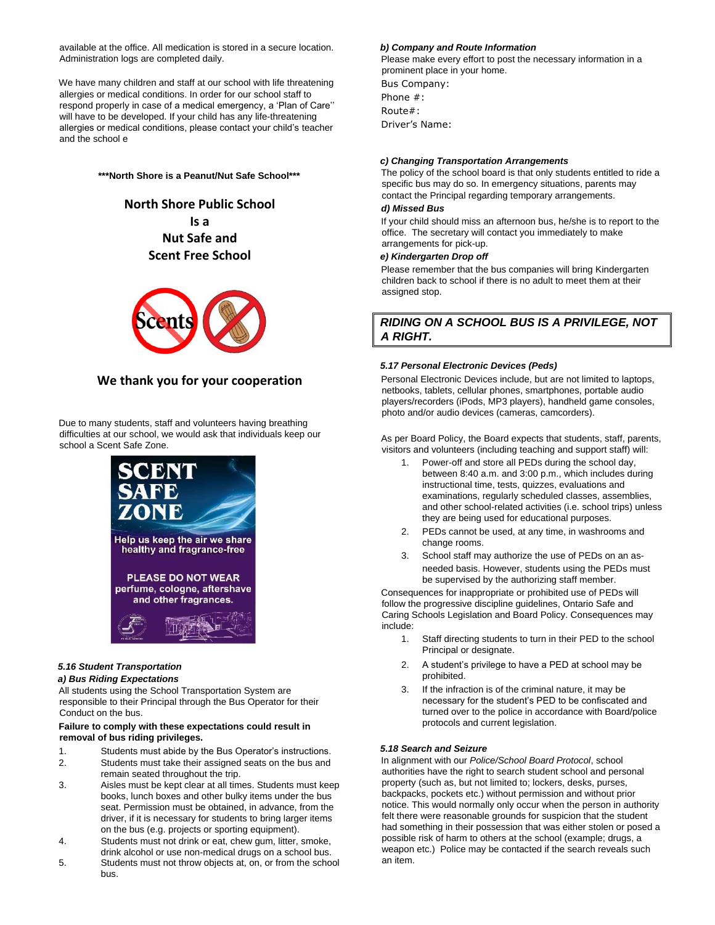available at the office. All medication is stored in a secure location. Administration logs are completed daily.

We have many children and staff at our school with life threatening allergies or medical conditions. In order for our school staff to respond properly in case of a medical emergency, a 'Plan of Care'' will have to be developed. If your child has any life-threatening allergies or medical conditions, please contact your child's teacher and the school e

**\*\*\*North Shore is a Peanut/Nut Safe School\*\*\***

# **North Shore Public School Is a Nut Safe and Scent Free School**



# **We thank you for your cooperation**

Due to many students, staff and volunteers having breathing difficulties at our school, we would ask that individuals keep our school a Scent Safe Zone.



# *5.16 Student Transportation*

## *a) Bus Riding Expectations*

All students using the School Transportation System are responsible to their Principal through the Bus Operator for their Conduct on the bus.

#### **Failure to comply with these expectations could result in removal of bus riding privileges.**

- 1. Students must abide by the Bus Operator's instructions.
- 2. Students must take their assigned seats on the bus and remain seated throughout the trip.
- 3. Aisles must be kept clear at all times. Students must keep books, lunch boxes and other bulky items under the bus seat. Permission must be obtained, in advance, from the driver, if it is necessary for students to bring larger items on the bus (e.g. projects or sporting equipment).
- 4. Students must not drink or eat, chew gum, litter, smoke, drink alcohol or use non-medical drugs on a school bus.
- 5. Students must not throw objects at, on, or from the school bus.

### *b) Company and Route Information*

Please make every effort to post the necessary information in a prominent place in your home.

Bus Company: Phone #: Route#: Driver's Name:

## *c) Changing Transportation Arrangements*

The policy of the school board is that only students entitled to ride a specific bus may do so. In emergency situations, parents may contact the Principal regarding temporary arrangements.

#### *d) Missed Bus*

If your child should miss an afternoon bus, he/she is to report to the office. The secretary will contact you immediately to make arrangements for pick-up.

## *e) Kindergarten Drop off*

Please remember that the bus companies will bring Kindergarten children back to school if there is no adult to meet them at their assigned stop.

# *RIDING ON A SCHOOL BUS IS A PRIVILEGE, NOT A RIGHT.*

# *5.17 Personal Electronic Devices (Peds)*

Personal Electronic Devices include, but are not limited to laptops, netbooks, tablets, cellular phones, smartphones, portable audio players/recorders (iPods, MP3 players), handheld game consoles, photo and/or audio devices (cameras, camcorders).

As per Board Policy, the Board expects that students, staff, parents, visitors and volunteers (including teaching and support staff) will:

- Power-off and store all PEDs during the school day, between 8:40 a.m. and 3:00 p.m., which includes during instructional time, tests, quizzes, evaluations and examinations, regularly scheduled classes, assemblies, and other school-related activities (i.e. school trips) unless they are being used for educational purposes.
- 2. PEDs cannot be used, at any time, in washrooms and change rooms.
- 3. School staff may authorize the use of PEDs on an asneeded basis. However, students using the PEDs must be supervised by the authorizing staff member.

Consequences for inappropriate or prohibited use of PEDs will follow the progressive discipline guidelines, Ontario Safe and Caring Schools Legislation and Board Policy. Consequences may include:

- 1. Staff directing students to turn in their PED to the school Principal or designate.
- 2. A student's privilege to have a PED at school may be prohibited.
- 3. If the infraction is of the criminal nature, it may be necessary for the student's PED to be confiscated and turned over to the police in accordance with Board/police protocols and current legislation.

#### *5.18 Search and Seizure*

In alignment with our *Police/School Board Protocol*, school authorities have the right to search student school and personal property (such as, but not limited to; lockers, desks, purses, backpacks, pockets etc.) without permission and without prior notice. This would normally only occur when the person in authority felt there were reasonable grounds for suspicion that the student had something in their possession that was either stolen or posed a possible risk of harm to others at the school (example; drugs, a weapon etc.) Police may be contacted if the search reveals such an item.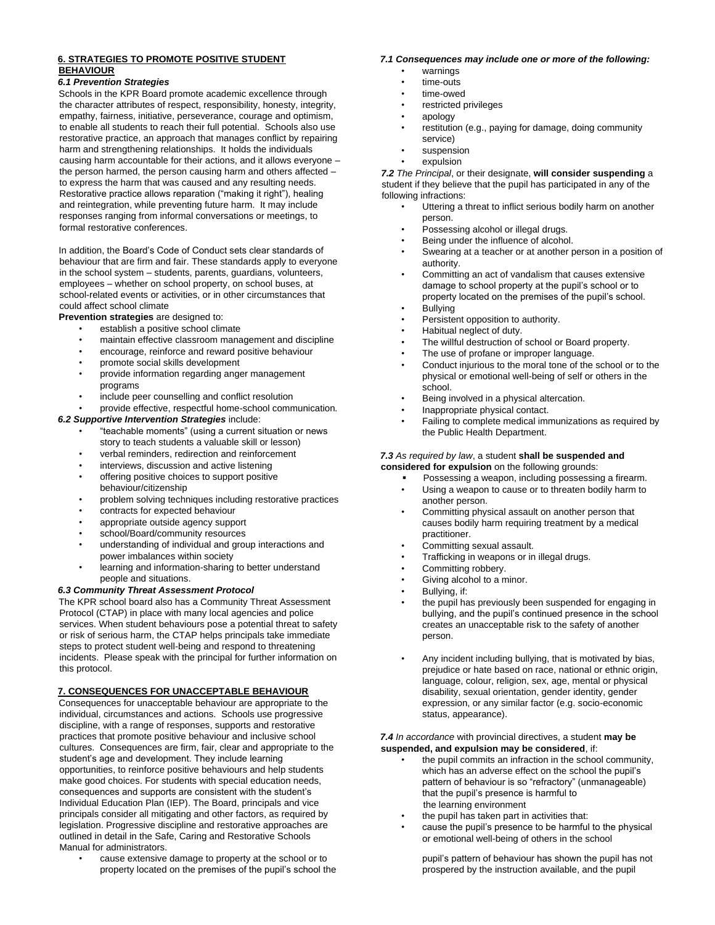## **6. STRATEGIES TO PROMOTE POSITIVE STUDENT BEHAVIOUR**

## *6.1 Prevention Strategies*

Schools in the KPR Board promote academic excellence through the character attributes of respect, responsibility, honesty, integrity, empathy, fairness, initiative, perseverance, courage and optimism, to enable all students to reach their full potential. Schools also use restorative practice, an approach that manages conflict by repairing harm and strengthening relationships. It holds the individuals causing harm accountable for their actions, and it allows everyone – the person harmed, the person causing harm and others affected – to express the harm that was caused and any resulting needs. Restorative practice allows reparation ("making it right"), healing and reintegration, while preventing future harm. It may include responses ranging from informal conversations or meetings, to formal restorative conferences.

In addition, the Board's Code of Conduct sets clear standards of behaviour that are firm and fair. These standards apply to everyone in the school system – students, parents, guardians, volunteers, employees – whether on school property, on school buses, at school-related events or activities, or in other circumstances that could affect school climate

**Prevention strategies** are designed to:

- establish a positive school climate
- maintain effective classroom management and discipline
- encourage, reinforce and reward positive behaviour
- promote social skills development
- provide information regarding anger management programs
- include peer counselling and conflict resolution
- provide effective, respectful home-school communication*. 6.2 Supportive Intervention Strategies* include:
	- "teachable moments" (using a current situation or news story to teach students a valuable skill or lesson)
	- verbal reminders, redirection and reinforcement
	- interviews, discussion and active listening
	- offering positive choices to support positive behaviour/citizenship
	- problem solving techniques including restorative practices
	- contracts for expected behaviour
	- appropriate outside agency support
	- school/Board/community resources
	- understanding of individual and group interactions and
	- power imbalances within society learning and information-sharing to better understand people and situations.

#### *6.3 Community Threat Assessment Protocol*

The KPR school board also has a Community Threat Assessment Protocol (CTAP) in place with many local agencies and police services. When student behaviours pose a potential threat to safety or risk of serious harm, the CTAP helps principals take immediate steps to protect student well-being and respond to threatening incidents. Please speak with the principal for further information on this protocol.

# **7. CONSEQUENCES FOR UNACCEPTABLE BEHAVIOUR**

Consequences for unacceptable behaviour are appropriate to the individual, circumstances and actions. Schools use progressive discipline, with a range of responses, supports and restorative practices that promote positive behaviour and inclusive school cultures. Consequences are firm, fair, clear and appropriate to the student's age and development. They include learning opportunities, to reinforce positive behaviours and help students make good choices. For students with special education needs, consequences and supports are consistent with the student's Individual Education Plan (IEP). The Board, principals and vice principals consider all mitigating and other factors, as required by legislation. Progressive discipline and restorative approaches are outlined in detail in the Safe, Caring and Restorative Schools Manual for administrators.

cause extensive damage to property at the school or to property located on the premises of the pupil's school the

#### *7.1 Consequences may include one or more of the following:*

- warnings
	- time-outs
- time-owed
- restricted privileges
- apology
- restitution (e.g., paying for damage, doing community service)
- suspension
- expulsion

*7.2 The Principal*, or their designate, **will consider suspending** a student if they believe that the pupil has participated in any of the following infractions:

- Uttering a threat to inflict serious bodily harm on another person.
- Possessing alcohol or illegal drugs.
- Being under the influence of alcohol.
- Swearing at a teacher or at another person in a position of authority.
- Committing an act of vandalism that causes extensive damage to school property at the pupil's school or to property located on the premises of the pupil's school.
- **Bullying**
- Persistent opposition to authority.
- Habitual neglect of duty.
- The willful destruction of school or Board property.
- The use of profane or improper language.
- Conduct injurious to the moral tone of the school or to the physical or emotional well-being of self or others in the school.
- Being involved in a physical altercation.
- Inappropriate physical contact.
- Failing to complete medical immunizations as required by the Public Health Department.

#### *7.3 As required by law*, a student **shall be suspended and considered for expulsion** on the following grounds:

- Possessing a weapon, including possessing a firearm. Using a weapon to cause or to threaten bodily harm to another person.
- Committing physical assault on another person that causes bodily harm requiring treatment by a medical practitioner.
- Committing sexual assault.
- Trafficking in weapons or in illegal drugs.
- Committing robbery.
- Giving alcohol to a minor.
- Bullying, if:
- the pupil has previously been suspended for engaging in bullying, and the pupil's continued presence in the school creates an unacceptable risk to the safety of another person.
- Any incident including bullying, that is motivated by bias, prejudice or hate based on race, national or ethnic origin, language, colour, religion, sex, age, mental or physical disability, sexual orientation, gender identity, gender expression, or any similar factor (e.g. socio-economic status, appearance).

#### *7.4 In accordance* with provincial directives, a student **may be suspended, and expulsion may be considered**, if:

- the pupil commits an infraction in the school community, which has an adverse effect on the school the pupil's pattern of behaviour is so "refractory" (unmanageable) that the pupil's presence is harmful to the learning environment
- the pupil has taken part in activities that:
- cause the pupil's presence to be harmful to the physical or emotional well-being of others in the school

pupil's pattern of behaviour has shown the pupil has not prospered by the instruction available, and the pupil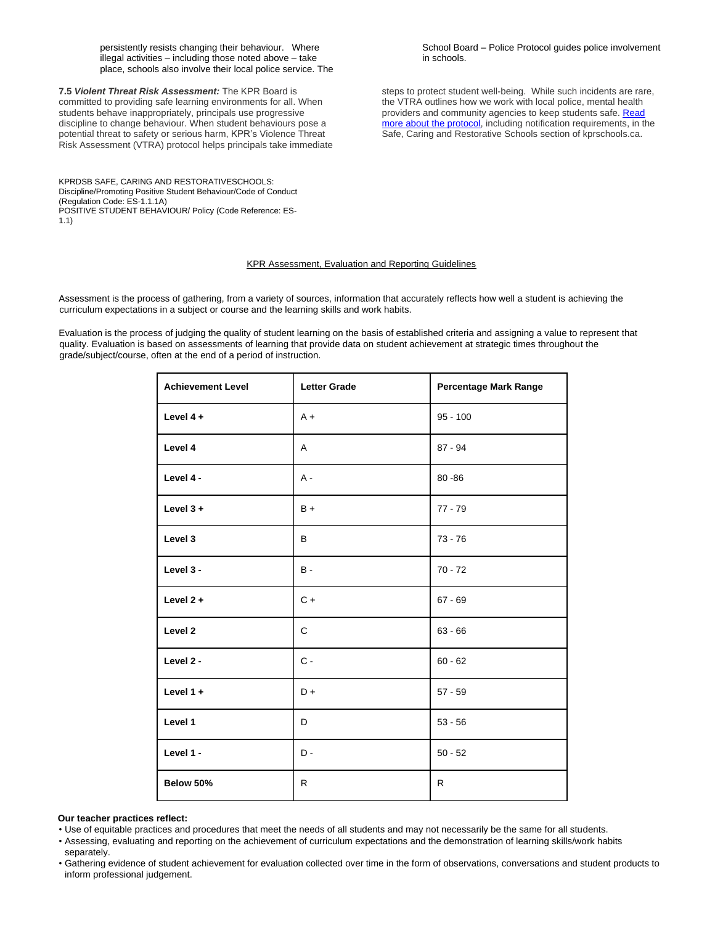persistently resists changing their behaviour. Where illegal activities – including those noted above – take place, schools also involve their local police service. The

**7.5** *Violent Threat Risk Assessment:* The KPR Board is committed to providing safe learning environments for all. When students behave inappropriately, principals use progressive discipline to change behaviour. When student behaviours pose a potential threat to safety or serious harm, KPR's Violence Threat Risk Assessment (VTRA) protocol helps principals take immediate

KPRDSB SAFE, CARING AND RESTORATIVESCHOOLS: Discipline/Promoting Positive Student Behaviour/Code of Conduct (Regulation Code: ES-1.1.1A) POSITIVE STUDENT BEHAVIOUR/ Policy (Code Reference: ES-1.1)

School Board – Police Protocol guides police involvement in schools.

steps to protect student well-being. While such incidents are rare, the VTRA outlines how we work with local police, mental health providers and community agencies to keep students safe. [Read](http://kprdsb.ca/en/students/well-being/safecaringrestorativeschools/vtra.html) more about the [protocol,](http://kprdsb.ca/en/students/well-being/safecaringrestorativeschools/vtra.html) including notification requirements, in the Safe, Caring and Restorative Schools section of kprschools.ca.

## KPR Assessment, Evaluation and Reporting Guidelines

Assessment is the process of gathering, from a variety of sources, information that accurately reflects how well a student is achieving the curriculum expectations in a subject or course and the learning skills and work habits.

Evaluation is the process of judging the quality of student learning on the basis of established criteria and assigning a value to represent that quality. Evaluation is based on assessments of learning that provide data on student achievement at strategic times throughout the grade/subject/course, often at the end of a period of instruction.

| <b>Achievement Level</b> | <b>Letter Grade</b> | Percentage Mark Range |
|--------------------------|---------------------|-----------------------|
| Level $4 +$              | $A +$               | $95 - 100$            |
| Level 4                  | A                   | $87 - 94$             |
| Level 4 -                | $A -$               | $80 - 86$             |
| Level $3 +$              | $B +$               | $77 - 79$             |
| Level 3                  | B                   | $73 - 76$             |
| Level 3 -                | <b>B</b> -          | $70 - 72$             |
| Level $2 +$              | $C +$               | $67 - 69$             |
| Level 2                  | $\mathsf{C}$        | $63 - 66$             |
| Level 2 -                | $C -$               | $60 - 62$             |
| Level $1 +$              | $D +$               | $57 - 59$             |
| Level 1                  | D                   | $53 - 56$             |
| Level 1 -                | $D -$               | $50 - 52$             |
| Below 50%                | R                   | R.                    |

#### **Our teacher practices reflect:**

• Use of equitable practices and procedures that meet the needs of all students and may not necessarily be the same for all students.

• Assessing, evaluating and reporting on the achievement of curriculum expectations and the demonstration of learning skills/work habits separately.

• Gathering evidence of student achievement for evaluation collected over time in the form of observations, conversations and student products to inform professional judgement.